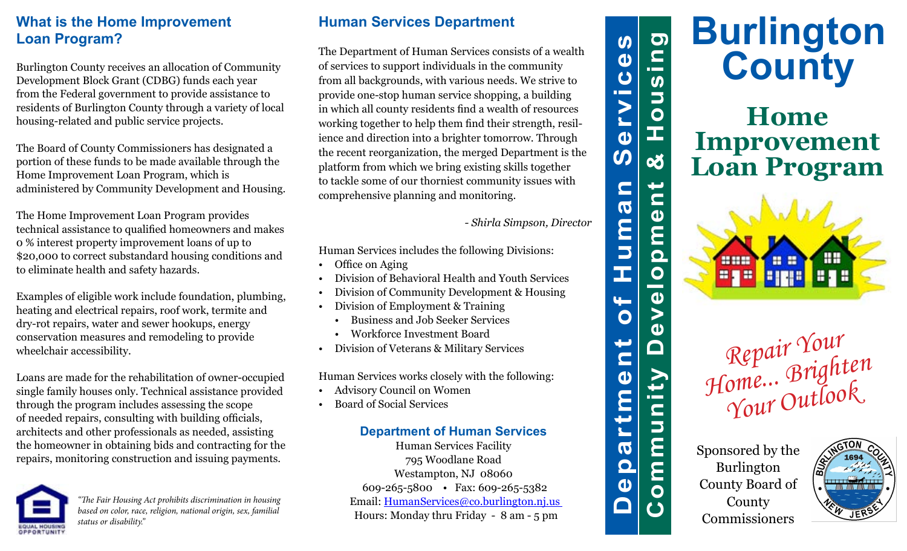## **What is the Home Improvement Loan Program?**

Burlington County receives an allocation of Community Development Block Grant (CDBG) funds each year from the Federal government to provide assistance to residents of Burlington County through a variety of local housing-related and public service projects.

The Board of County Commissioners has designated a portion of these funds to be made available through the Home Improvement Loan Program, which is administered by Community Development and Housing.

The Home Improvement Loan Program provides technical assistance to qualified homeowners and makes 0 % interest property improvement loans of up to \$20,000 to correct substandard housing conditions and to eliminate health and safety hazards.

Examples of eligible work include foundation, plumbing, heating and electrical repairs, roof work, termite and dry-rot repairs, water and sewer hookups, energy conservation measures and remodeling to provide wheelchair accessibility.

Loans are made for the rehabilitation of owner-occupied single family houses only. Technical assistance provided through the program includes assessing the scope of needed repairs, consulting with building officials, architects and other professionals as needed, assisting the homeowner in obtaining bids and contracting for the repairs, monitoring construction and issuing payments.



*"The Fair Housing Act prohibits discrimination in housing based on color, race, religion, national origin, sex, familial status or disability."*

## **Human Services Department**

The Department of Human Services consists of a wealth of services to support individuals in the community from all backgrounds, with various needs. We strive to provide one-stop human service shopping, a building in which all county residents find a wealth of resources working together to help them find their strength, resilience and direction into a brighter tomorrow. Through the recent reorganization, the merged Department is the platform from which we bring existing skills together to tackle some of our thorniest community issues with comprehensive planning and monitoring.

*- Shirla Simpson, Director*

Human Services includes the following Divisions:

- Office on Aging
- Division of Behavioral Health and Youth Services
- Division of Community Development & Housing
- Division of Employment & Training
	- Business and Job Seeker Services
	- Workforce Investment Board
- Division of Veterans & Military Services

Human Services works closely with the following:

- Advisory Council on Women
- Board of Social Services

### **Department of Human Services**

Human Services Facility 795 Woodlane Road Westampton, NJ 08060 609-265-5800 • Fax: 609-265-5382 Email: HumanServices@co.burlington.nj.us Hours: Monday thru Friday - 8 am - 5 pm